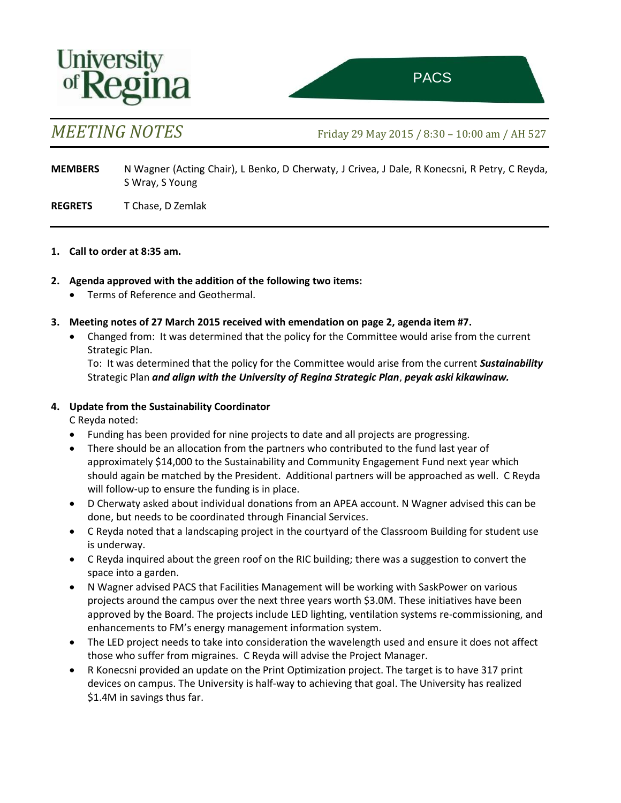

*MEETING NOTES* Friday 29 May <sup>2015</sup> / 8:30 – 10:00 am / AH 527 ttee on Sustainability of the Sustainability of the Sustainability of the Sustainability of the Sustainability

**MEMBERS** N Wagner (Acting Chair), L Benko, D Cherwaty, J Crivea, J Dale, R Konecsni, R Petry, C Reyda, S Wray, S Young

**REGRETS** T Chase, D Zemlak

#### **1. Call to order at 8:35 am.**

- **2. Agenda approved with the addition of the following two items:**
	- Terms of Reference and Geothermal.
- **3. Meeting notes of 27 March 2015 received with emendation on page 2, agenda item #7.**
	- Changed from: It was determined that the policy for the Committee would arise from the current Strategic Plan.

To: It was determined that the policy for the Committee would arise from the current *Sustainability*  Strategic Plan *and align with the University of Regina Strategic Plan*, *peyak aski kikawinaw.*

#### **4. Update from the Sustainability Coordinator**

C Reyda noted:

- Funding has been provided for nine projects to date and all projects are progressing.
- There should be an allocation from the partners who contributed to the fund last year of approximately \$14,000 to the Sustainability and Community Engagement Fund next year which should again be matched by the President. Additional partners will be approached as well. C Reyda will follow-up to ensure the funding is in place.
- D Cherwaty asked about individual donations from an APEA account. N Wagner advised this can be done, but needs to be coordinated through Financial Services.
- C Reyda noted that a landscaping project in the courtyard of the Classroom Building for student use is underway.
- C Reyda inquired about the green roof on the RIC building; there was a suggestion to convert the space into a garden.
- N Wagner advised PACS that Facilities Management will be working with SaskPower on various projects around the campus over the next three years worth \$3.0M. These initiatives have been approved by the Board. The projects include LED lighting, ventilation systems re-commissioning, and enhancements to FM's energy management information system.
- The LED project needs to take into consideration the wavelength used and ensure it does not affect those who suffer from migraines. C Reyda will advise the Project Manager.
- R Konecsni provided an update on the Print Optimization project. The target is to have 317 print devices on campus. The University is half-way to achieving that goal. The University has realized \$1.4M in savings thus far.